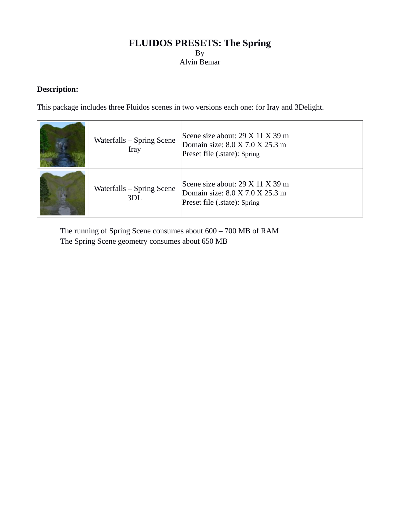# **FLUIDOS PRESETS: The Spring** By Alvin Bemar

## **Description:**

This package includes three Fluidos scenes in two versions each one: for Iray and 3Delight.

| Waterfalls - Spring Scene<br><b>Iray</b> | Scene size about: 29 X 11 X 39 m<br>Domain size: 8.0 X 7.0 X 25.3 m<br>Preset file (.state): Spring |
|------------------------------------------|-----------------------------------------------------------------------------------------------------|
| Waterfalls - Spring Scene<br>3DL         | Scene size about: 29 X 11 X 39 m<br>Domain size: 8.0 X 7.0 X 25.3 m<br>Preset file (.state): Spring |

The running of Spring Scene consumes about 600 – 700 MB of RAM The Spring Scene geometry consumes about 650 MB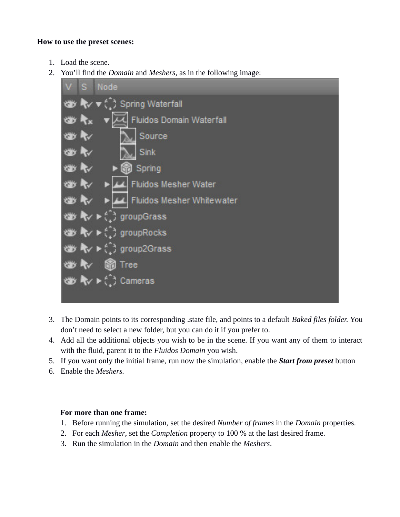#### **How to use the preset scenes:**

- 1. Load the scene.
- 2. You'll find the *Domain* and *Meshers*, as in the following image:



- 3. The Domain points to its corresponding .state file, and points to a default *Baked files folder.* You don't need to select a new folder, but you can do it if you prefer to.
- 4. Add all the additional objects you wish to be in the scene. If you want any of them to interact with the fluid, parent it to the *Fluidos Domain* you wish.
- 5. If you want only the initial frame, run now the simulation, enable the *Start from preset* button
- 6. Enable the *Meshers.*

### **For more than one frame:**

- 1. Before running the simulation, set the desired *Number of frames* in the *Domain* properties.
- 2. For each *Mesher*, set the *Completion* property to 100 % at the last desired frame.
- 3. Run the simulation in the *Domain* and then enable the *Meshers*.